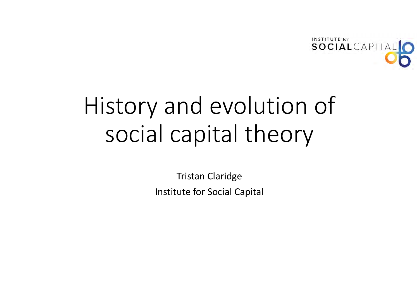

# History and evolution of social capital theory

Tristan Claridge Institute for Social Capital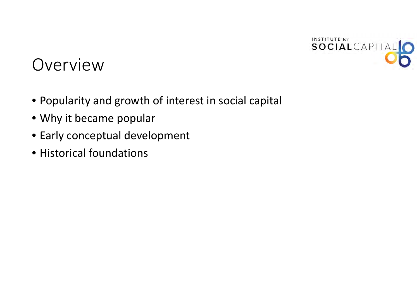

### Overview

- Popularity and growth of interest in social capital
- Why it became popular
- Early conceptual development
- Historical foundations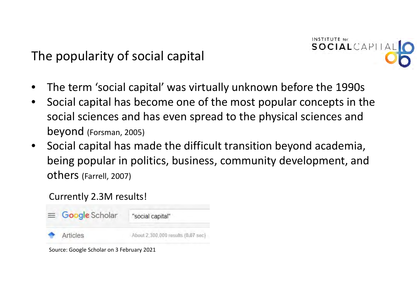The popularity of social capital



- •The term 'social capital' was virtually unknown before the 1990s
- $\bullet$  Social capital has become one of the most popular concepts in the social sciences and has even spread to the physical sciences and beyond (Forsman, 2005)
- $\bullet$  Social capital has made the difficult transition beyond academia, being popular in politics, business, community development, and others (Farrell, 2007)

#### Currently 2.3M results!



Source: Google Scholar on 3 February 2021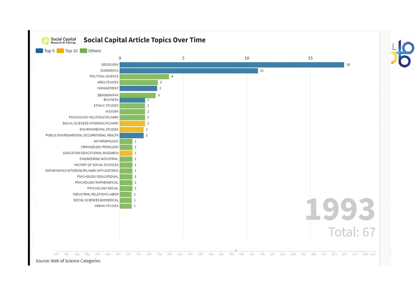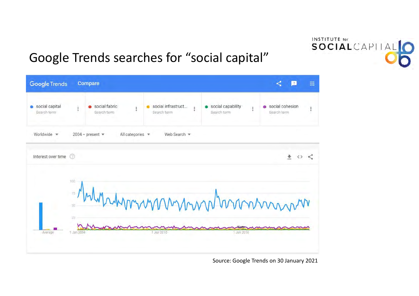#### Google Trends searches for "social capital"



#### Source: Google Trends on 30 January 2021

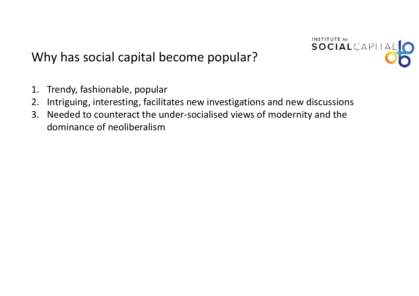

#### Why has social capital become popular?

- 1. Trendy, fashionable, popular
- 2. Intriguing, interesting, facilitates new investigations and new discussions
- 3. Needed to counteract the under‐socialised views of modernity and the dominance of neoliberalism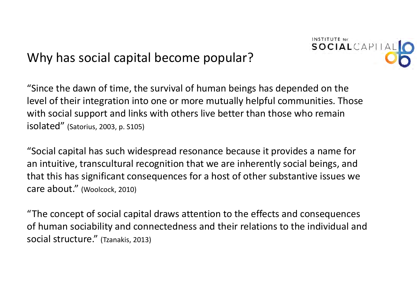#### Why has social capital become popular?



"Since the dawn of time, the survival of human beings has depended on the level of their integration into one or more mutually helpful communities. Those with social support and links with others live better than those who remain isolated" (Satorius, 2003, p. S105)

"Social capital has such widespread resonance because it provides <sup>a</sup> name for an intuitive, transcultural recognition that we are inherently social beings, and that this has significant consequences for <sup>a</sup> host of other substantive issues we care about." (Woolcock, 2010)

"The concept of social capital draws attention to the effects and consequences of human sociability and connectedness and their relations to the individual and social structure." (Tzanakis, 2013)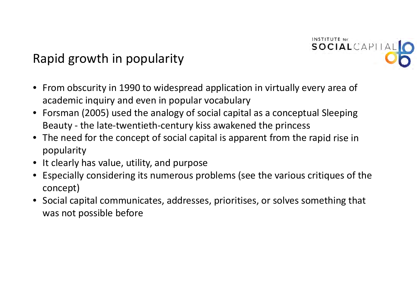

#### Rapid growth in popularity

- From obscurity in 1990 to widespread application in virtually every area of academic inquiry and even in popular vocabulary
- Forsman (2005) used the analogy of social capital as <sup>a</sup> conceptual Sleeping Beauty ‐ the late‐twentieth‐century kiss awakened the princess
- The need for the concept of social capital is apparent from the rapid rise in popularity
- It clearly has value, utility, and purpose
- Especially considering its numerous problems (see the various critiques of the concept)
- Social capital communicates, addresses, prioritises, or solves something that was not possible before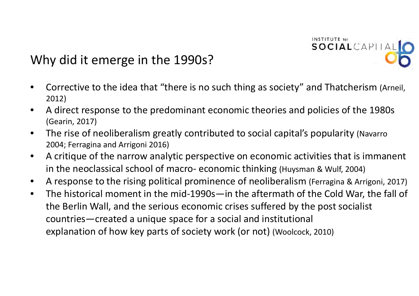

#### Why did it emerge in the 1990s?

- • Corrective to the idea that "there is no such thing as society" and Thatcherism (Arneil, 2012)
- • A direct response to the predominant economic theories and policies of the 1980s (Gearin, 2017)
- • The rise of neoliberalism greatly contributed to social capital's popularity (Navarro 2004; Ferragina and Arrigoni 2016)
- • A critique of the narrow analytic perspective on economic activities that is immanent in the neoclassical school of macro‐ economic thinking (Huysman & Wulf, 2004)
- •A response to the rising political prominence of neoliberalism (Ferragina & Arrigoni, 2017)
- $\bullet$  The historical moment in the mid‐1990s—in the aftermath of the Cold War, the fall of the Berlin Wall, and the serious economic crises suffered by the post socialist countries—created <sup>a</sup> unique space for <sup>a</sup> social and institutional explanation of how key parts of society work (or not) (Woolcock, 2010)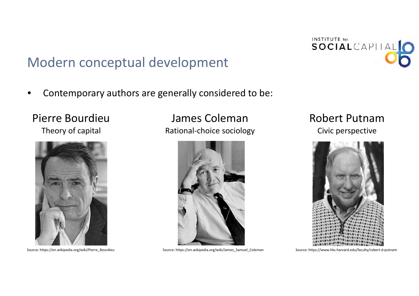#### Modern conceptual development

•Contemporary authors are generally considered to be:

#### Pierre BourdieuTheory of capital



Source: https://en.wikipedia.org/wiki/Pierre Bourdieu

#### James Coleman Rational‐choice sociology



Source: https://en.wikipedia.org/wiki/James\_Samuel\_Coleman Source: https://www.hks.harvard.edu/faculty/robert‐d‐putnam

# Robert Putnam

Civic perspective



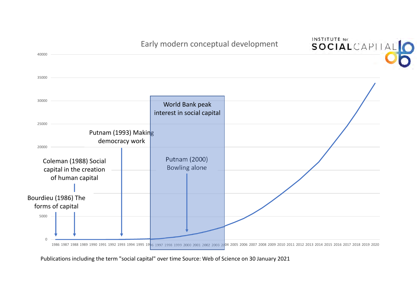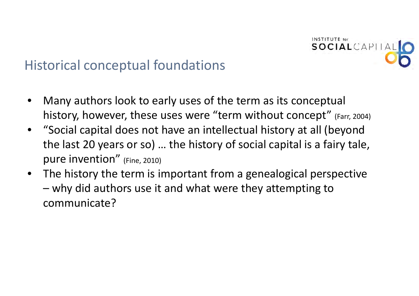

### Historical conceptual foundations

- • Many authors look to early uses of the term as its conceptual history, however, these uses were "term without concept" (Farr, 2004)
- "Social capital does not have an intellectual history at all (beyond the last 20 years or so) … the history of social capital is <sup>a</sup> fairy tale, pure invention" (Fine, 2010)
- • The history the term is important from <sup>a</sup> genealogical perspective why did authors use it and what were they attempting to communicate?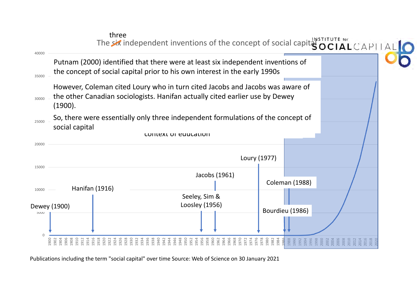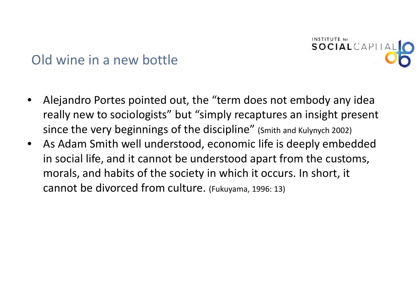

#### Old wine in a new bottle

- • Alejandro Portes pointed out, the "term does not embody any idea really new to sociologists" but "simply recaptures an insight present since the very beginnings of the discipline" (Smith and Kulynych 2002)
- As Adam Smith well understood, economic life is deeply embedded in social life, and it cannot be understood apart from the customs, morals, and habits of the society in which it occurs. In short, it cannot be divorced from culture. (Fukuyama, 1996: 13)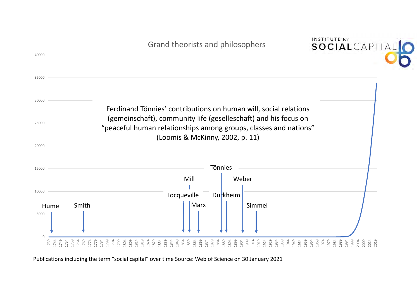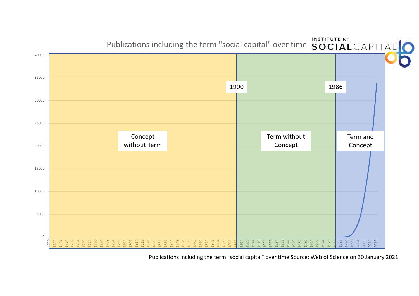